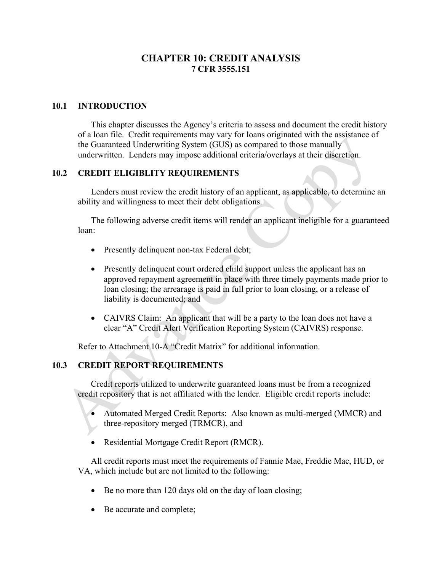# **CHAPTER 10: CREDIT ANALYSIS 7 CFR 3555.151**

## **10.1 INTRODUCTION**

This chapter discusses the Agency's criteria to assess and document the credit history of a loan file. Credit requirements may vary for loans originated with the assistance of the Guaranteed Underwriting System (GUS) as compared to those manually underwritten. Lenders may impose additional criteria/overlays at their discretion.

## **10.2 CREDIT ELIGIBLITY REQUIREMENTS**

Lenders must review the credit history of an applicant, as applicable, to determine an ability and willingness to meet their debt obligations.

The following adverse credit items will render an applicant ineligible for a guaranteed loan:

- Presently delinquent non-tax Federal debt;
- Presently delinquent court ordered child support unless the applicant has an approved repayment agreement in place with three timely payments made prior to loan closing; the arrearage is paid in full prior to loan closing, or a release of liability is documented; and
- CAIVRS Claim: An applicant that will be a party to the loan does not have a clear "A" Credit Alert Verification Reporting System (CAIVRS) response.

Refer to Attachment 10-A "Credit Matrix" for additional information.

# **10.3 CREDIT REPORT REQUIREMENTS**

Credit reports utilized to underwrite guaranteed loans must be from a recognized credit repository that is not affiliated with the lender. Eligible credit reports include:

- Automated Merged Credit Reports: Also known as multi-merged (MMCR) and three-repository merged (TRMCR), and
- Residential Mortgage Credit Report (RMCR).

All credit reports must meet the requirements of Fannie Mae, Freddie Mac, HUD, or VA, which include but are not limited to the following:

- Be no more than 120 days old on the day of loan closing;
- Be accurate and complete;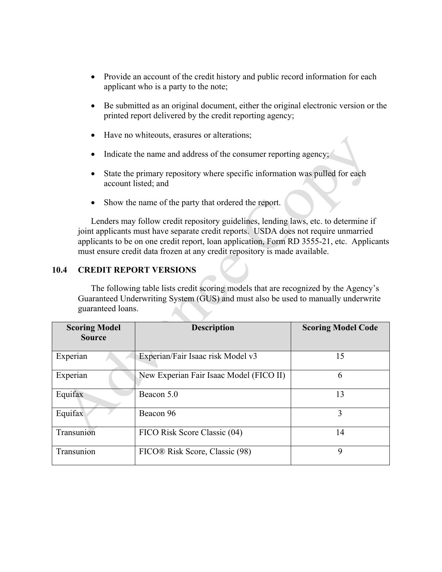- Provide an account of the credit history and public record information for each applicant who is a party to the note;
- Be submitted as an original document, either the original electronic version or the printed report delivered by the credit reporting agency;
- Have no whiteouts, erasures or alterations;
- Indicate the name and address of the consumer reporting agency;
- State the primary repository where specific information was pulled for each account listed; and
- Show the name of the party that ordered the report.

Lenders may follow credit repository guidelines, lending laws, etc. to determine if joint applicants must have separate credit reports. USDA does not require unmarried applicants to be on one credit report, loan application, Form RD 3555-21, etc. Applicants must ensure credit data frozen at any credit repository is made available.

## **10.4 CREDIT REPORT VERSIONS**

The following table lists credit scoring models that are recognized by the Agency's Guaranteed Underwriting System (GUS) and must also be used to manually underwrite guaranteed loans.

| <b>Scoring Model</b><br><b>Source</b> | <b>Description</b>                      | <b>Scoring Model Code</b> |
|---------------------------------------|-----------------------------------------|---------------------------|
| Experian                              | Experian/Fair Isaac risk Model v3       | 15                        |
| Experian                              | New Experian Fair Isaac Model (FICO II) | 6                         |
| Equifax                               | Beacon 5.0                              | 13                        |
| Equifax                               | Beacon 96                               | 3                         |
| Transunion                            | FICO Risk Score Classic (04)            | 14                        |
| Transunion                            | FICO® Risk Score, Classic (98)          | 9                         |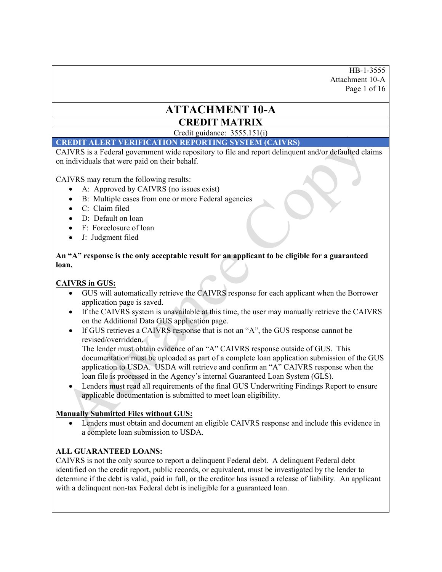HB-1-3555 Attachment 10-A Page 1 of 16

# **ATTACHMENT 10-A CREDIT MATRIX**

Credit guidance: 3555.151(i)

### **CREDIT ALERT VERIFICATION REPORTING SYSTEM (CAIVRS)**

CAIVRS is a Federal government wide repository to file and report delinquent and/or defaulted claims on individuals that were paid on their behalf.

CAIVRS may return the following results:

- A: Approved by CAIVRS (no issues exist)
- B: Multiple cases from one or more Federal agencies
- C: Claim filed
- D: Default on loan
- F: Foreclosure of loan
- J: Judgment filed

**An "A" response is the only acceptable result for an applicant to be eligible for a guaranteed loan.** 

## **CAIVRS in GUS:**

- GUS will automatically retrieve the CAIVRS response for each applicant when the Borrower application page is saved.
- If the CAIVRS system is unavailable at this time, the user may manually retrieve the CAIVRS on the Additional Data GUS application page.
- If GUS retrieves a CAIVRS response that is not an "A", the GUS response cannot be revised/overridden.

The lender must obtain evidence of an "A" CAIVRS response outside of GUS. This documentation must be uploaded as part of a complete loan application submission of the GUS application to USDA. USDA will retrieve and confirm an "A" CAIVRS response when the loan file is processed in the Agency's internal Guaranteed Loan System (GLS).

 Lenders must read all requirements of the final GUS Underwriting Findings Report to ensure applicable documentation is submitted to meet loan eligibility.

#### **Manually Submitted Files without GUS:**

 Lenders must obtain and document an eligible CAIVRS response and include this evidence in a complete loan submission to USDA.

#### **ALL GUARANTEED LOANS:**

CAIVRS is not the only source to report a delinquent Federal debt. A delinquent Federal debt identified on the credit report, public records, or equivalent, must be investigated by the lender to determine if the debt is valid, paid in full, or the creditor has issued a release of liability. An applicant with a delinquent non-tax Federal debt is ineligible for a guaranteed loan.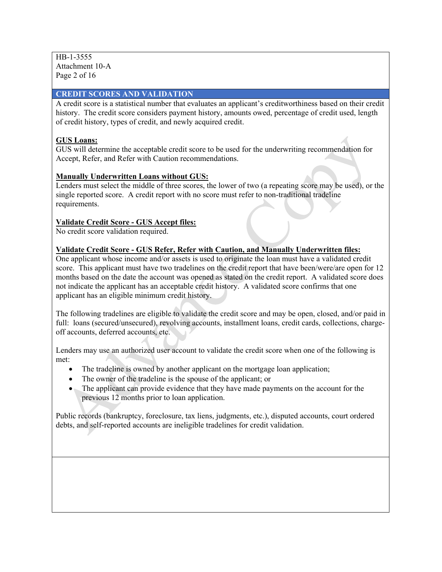HB-1-3555 Attachment 10-A Page 2 of 16

## **CREDIT SCORES AND VALIDATION**

A credit score is a statistical number that evaluates an applicant's creditworthiness based on their credit history. The credit score considers payment history, amounts owed, percentage of credit used, length of credit history, types of credit, and newly acquired credit.

## **GUS Loans:**

GUS will determine the acceptable credit score to be used for the underwriting recommendation for Accept, Refer, and Refer with Caution recommendations.

## **Manually Underwritten Loans without GUS:**

Lenders must select the middle of three scores, the lower of two (a repeating score may be used), or the single reported score. A credit report with no score must refer to non-traditional tradeline requirements.

## **Validate Credit Score - GUS Accept files:**

No credit score validation required.

## **Validate Credit Score - GUS Refer, Refer with Caution, and Manually Underwritten files:**

One applicant whose income and/or assets is used to originate the loan must have a validated credit score. This applicant must have two tradelines on the credit report that have been/were/are open for 12 months based on the date the account was opened as stated on the credit report. A validated score does not indicate the applicant has an acceptable credit history. A validated score confirms that one applicant has an eligible minimum credit history.

The following tradelines are eligible to validate the credit score and may be open, closed, and/or paid in full: loans (secured/unsecured), revolving accounts, installment loans, credit cards, collections, chargeoff accounts, deferred accounts, etc.

Lenders may use an authorized user account to validate the credit score when one of the following is met:

- The tradeline is owned by another applicant on the mortgage loan application;
- The owner of the tradeline is the spouse of the applicant; or
- The applicant can provide evidence that they have made payments on the account for the previous 12 months prior to loan application.

Public records (bankruptcy, foreclosure, tax liens, judgments, etc.), disputed accounts, court ordered debts, and self-reported accounts are ineligible tradelines for credit validation.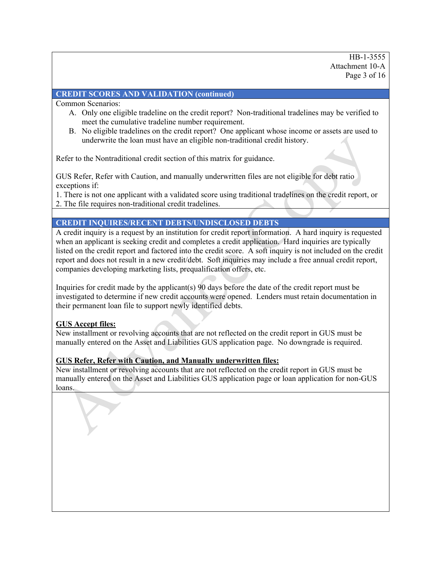HB-1-3555 Attachment 10-A Page 3 of 16

## **CREDIT SCORES AND VALIDATION (continued)**

Common Scenarios:

- A. Only one eligible tradeline on the credit report? Non-traditional tradelines may be verified to meet the cumulative tradeline number requirement.
- B. No eligible tradelines on the credit report? One applicant whose income or assets are used to underwrite the loan must have an eligible non-traditional credit history.

Refer to the Nontraditional credit section of this matrix for guidance.

GUS Refer, Refer with Caution, and manually underwritten files are not eligible for debt ratio exceptions if:

1. There is not one applicant with a validated score using traditional tradelines on the credit report, or

2. The file requires non-traditional credit tradelines.

# **CREDIT INQUIRES/RECENT DEBTS/UNDISCLOSED DEBTS**

A credit inquiry is a request by an institution for credit report information. A hard inquiry is requested when an applicant is seeking credit and completes a credit application. Hard inquiries are typically listed on the credit report and factored into the credit score. A soft inquiry is not included on the credit report and does not result in a new credit/debt. Soft inquiries may include a free annual credit report, companies developing marketing lists, prequalification offers, etc.

Inquiries for credit made by the applicant(s) 90 days before the date of the credit report must be investigated to determine if new credit accounts were opened. Lenders must retain documentation in their permanent loan file to support newly identified debts.

## **GUS Accept files:**

New installment or revolving accounts that are not reflected on the credit report in GUS must be manually entered on the Asset and Liabilities GUS application page. No downgrade is required.

## **GUS Refer, Refer with Caution, and Manually underwritten files:**

New installment or revolving accounts that are not reflected on the credit report in GUS must be manually entered on the Asset and Liabilities GUS application page or loan application for non-GUS loans.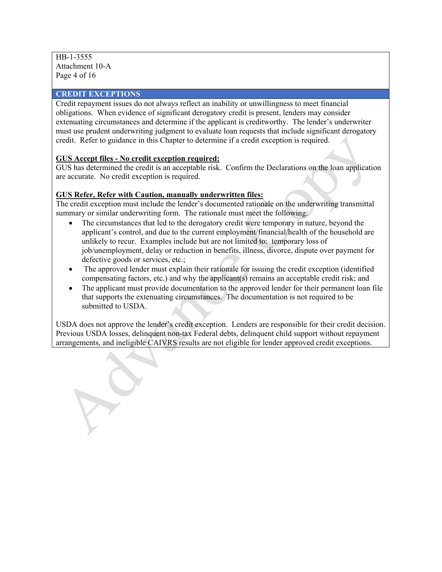HB-1-3555 Attachment 10-A Page 4 of 16

#### **CREDIT EXCEPTIONS**

Credit repayment issues do not always reflect an inability or unwillingness to meet financial obligations. When evidence of significant derogatory credit is present, lenders may consider extenuating circumstances and determine if the applicant is creditworthy. The lender's underwriter must use prudent underwriting judgment to evaluate loan requests that include significant derogatory credit. Refer to guidance in this Chapter to determine if a credit exception is required.

## **GUS Accept files - No credit exception required:**

GUS has determined the credit is an acceptable risk. Confirm the Declarations on the loan application are accurate. No credit exception is required.

#### **GUS Refer, Refer with Caution, manually underwritten files:**

The credit exception must include the lender's documented rationale on the underwriting transmittal summary or similar underwriting form. The rationale must meet the following:

- The circumstances that led to the derogatory credit were temporary in nature, beyond the applicant's control, and due to the current employment/financial/health of the household are unlikely to recur. Examples include but are not limited to: temporary loss of job/unemployment, delay or reduction in benefits, illness, divorce, dispute over payment for defective goods or services, etc.;
- The approved lender must explain their rationale for issuing the credit exception (identified compensating factors, etc.) and why the applicant(s) remains an acceptable credit risk; and
- The applicant must provide documentation to the approved lender for their permanent loan file that supports the extenuating circumstances. The documentation is not required to be submitted to USDA.

USDA does not approve the lender's credit exception. Lenders are responsible for their credit decision. Previous USDA losses, delinquent non-tax Federal debts, delinquent child support without repayment arrangements, and ineligible CAIVRS results are not eligible for lender approved credit exceptions.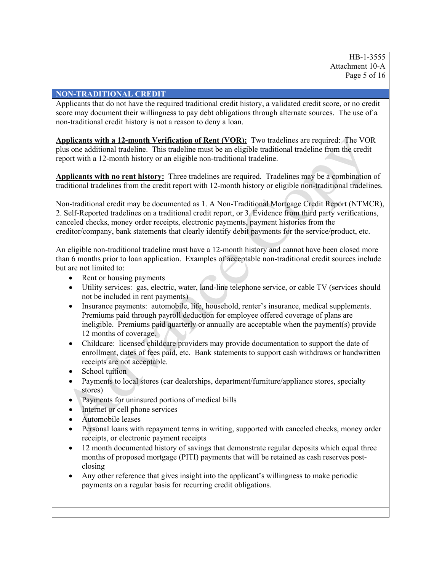HB-1-3555 Attachment 10-A Page 5 of 16

#### **NON-TRADITIONAL CREDIT**

Applicants that do not have the required traditional credit history, a validated credit score, or no credit score may document their willingness to pay debt obligations through alternate sources. The use of a non-traditional credit history is not a reason to deny a loan.

**Applicants with a 12-month Verification of Rent (VOR):** Two tradelines are required: The VOR plus one additional tradeline. This tradeline must be an eligible traditional tradeline from the credit report with a 12-month history or an eligible non-traditional tradeline.

**Applicants with no rent history:** Three tradelines are required. Tradelines may be a combination of traditional tradelines from the credit report with 12-month history or eligible non-traditional tradelines.

Non-traditional credit may be documented as 1. A Non-Traditional Mortgage Credit Report (NTMCR), 2. Self-Reported tradelines on a traditional credit report, or 3. Evidence from third party verifications, canceled checks, money order receipts, electronic payments, payment histories from the creditor/company, bank statements that clearly identify debit payments for the service/product, etc.

An eligible non-traditional tradeline must have a 12-month history and cannot have been closed more than 6 months prior to loan application. Examples of acceptable non-traditional credit sources include but are not limited to:

- Rent or housing payments
- Utility services: gas, electric, water, land-line telephone service, or cable TV (services should not be included in rent payments)
- Insurance payments: automobile, life, household, renter's insurance, medical supplements. Premiums paid through payroll deduction for employee offered coverage of plans are ineligible. Premiums paid quarterly or annually are acceptable when the payment(s) provide 12 months of coverage.
- Childcare: licensed childcare providers may provide documentation to support the date of enrollment, dates of fees paid, etc. Bank statements to support cash withdraws or handwritten receipts are not acceptable.
- School tuition
- Payments to local stores (car dealerships, department/furniture/appliance stores, specialty stores)
- Payments for uninsured portions of medical bills
- Internet or cell phone services
- Automobile leases
- Personal loans with repayment terms in writing, supported with canceled checks, money order receipts, or electronic payment receipts
- 12 month documented history of savings that demonstrate regular deposits which equal three months of proposed mortgage (PITI) payments that will be retained as cash reserves postclosing
- Any other reference that gives insight into the applicant's willingness to make periodic payments on a regular basis for recurring credit obligations.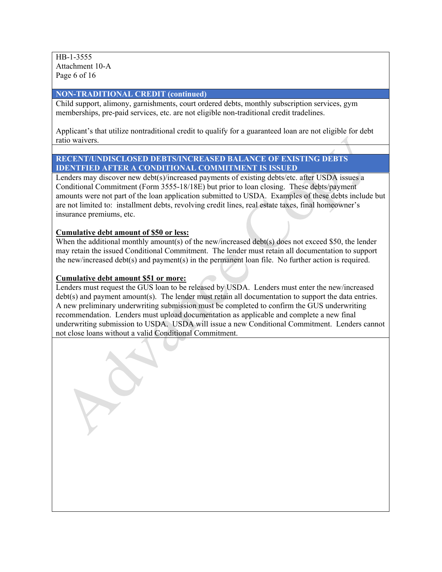HB-1-3555 Attachment 10-A Page 6 of 16

#### **NON-TRADITIONAL CREDIT (continued)**

Child support, alimony, garnishments, court ordered debts, monthly subscription services, gym memberships, pre-paid services, etc. are not eligible non-traditional credit tradelines.

Applicant's that utilize nontraditional credit to qualify for a guaranteed loan are not eligible for debt ratio waivers.

#### **RECENT/UNDISCLOSED DEBTS/INCREASED BALANCE OF EXISTING DEBTS IDENTFIED AFTER A CONDITIONAL COMMITMENT IS ISSUED**

Lenders may discover new debt(s)/increased payments of existing debts/etc. after USDA issues a Conditional Commitment (Form 3555-18/18E) but prior to loan closing. These debts/payment amounts were not part of the loan application submitted to USDA. Examples of these debts include but are not limited to: installment debts, revolving credit lines, real estate taxes, final homeowner's insurance premiums, etc.

#### **Cumulative debt amount of \$50 or less:**

When the additional monthly amount(s) of the new/increased debt(s) does not exceed \$50, the lender may retain the issued Conditional Commitment. The lender must retain all documentation to support the new/increased debt(s) and payment(s) in the permanent loan file. No further action is required.

#### **Cumulative debt amount \$51 or more:**

Lenders must request the GUS loan to be released by USDA. Lenders must enter the new/increased debt(s) and payment amount(s). The lender must retain all documentation to support the data entries. A new preliminary underwriting submission must be completed to confirm the GUS underwriting recommendation. Lenders must upload documentation as applicable and complete a new final underwriting submission to USDA. USDA will issue a new Conditional Commitment. Lenders cannot not close loans without a valid Conditional Commitment.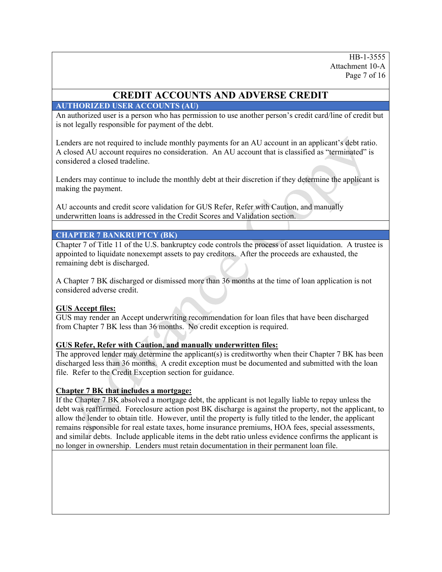HB-1-3555 Attachment 10-A Page 7 of 16

# **CREDIT ACCOUNTS AND ADVERSE CREDIT**

## **AUTHORIZED USER ACCOUNTS (AU)**

An authorized user is a person who has permission to use another person's credit card/line of credit but is not legally responsible for payment of the debt.

Lenders are not required to include monthly payments for an AU account in an applicant's debt ratio. A closed AU account requires no consideration. An AU account that is classified as "terminated" is considered a closed tradeline.

Lenders may continue to include the monthly debt at their discretion if they determine the applicant is making the payment.

AU accounts and credit score validation for GUS Refer, Refer with Caution, and manually underwritten loans is addressed in the Credit Scores and Validation section.

## **CHAPTER 7 BANKRUPTCY (BK)**

Chapter 7 of Title 11 of the U.S. bankruptcy code controls the process of asset liquidation. A trustee is appointed to liquidate nonexempt assets to pay creditors. After the proceeds are exhausted, the remaining debt is discharged.

A Chapter 7 BK discharged or dismissed more than 36 months at the time of loan application is not considered adverse credit.

## **GUS Accept files:**

GUS may render an Accept underwriting recommendation for loan files that have been discharged from Chapter 7 BK less than 36 months. No credit exception is required.

## **GUS Refer, Refer with Caution, and manually underwritten files:**

The approved lender may determine the applicant(s) is creditworthy when their Chapter 7 BK has been discharged less than 36 months. A credit exception must be documented and submitted with the loan file. Refer to the Credit Exception section for guidance.

## **Chapter 7 BK that includes a mortgage:**

If the Chapter 7 BK absolved a mortgage debt, the applicant is not legally liable to repay unless the debt was reaffirmed. Foreclosure action post BK discharge is against the property, not the applicant, to allow the lender to obtain title. However, until the property is fully titled to the lender, the applicant remains responsible for real estate taxes, home insurance premiums, HOA fees, special assessments, and similar debts. Include applicable items in the debt ratio unless evidence confirms the applicant is no longer in ownership. Lenders must retain documentation in their permanent loan file.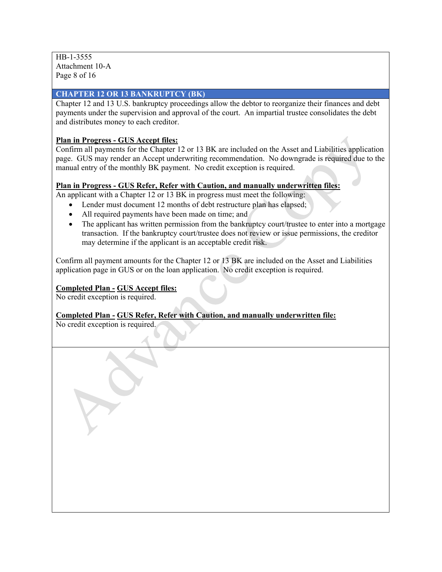HB-1-3555 Attachment 10-A Page 8 of 16

## **CHAPTER 12 OR 13 BANKRUPTCY (BK)**

Chapter 12 and 13 U.S. bankruptcy proceedings allow the debtor to reorganize their finances and debt payments under the supervision and approval of the court. An impartial trustee consolidates the debt and distributes money to each creditor.

## **Plan in Progress - GUS Accept files:**

Confirm all payments for the Chapter 12 or 13 BK are included on the Asset and Liabilities application page. GUS may render an Accept underwriting recommendation. No downgrade is required due to the manual entry of the monthly BK payment. No credit exception is required.

## **Plan in Progress - GUS Refer, Refer with Caution, and manually underwritten files:**

An applicant with a Chapter 12 or 13 BK in progress must meet the following:

- Lender must document 12 months of debt restructure plan has elapsed;
- All required payments have been made on time; and
- The applicant has written permission from the bankruptcy court/trustee to enter into a mortgage transaction. If the bankruptcy court/trustee does not review or issue permissions, the creditor may determine if the applicant is an acceptable credit risk.

Confirm all payment amounts for the Chapter 12 or 13 BK are included on the Asset and Liabilities application page in GUS or on the loan application. No credit exception is required.

## **Completed Plan - GUS Accept files:**

No credit exception is required.

# **Completed Plan - GUS Refer, Refer with Caution, and manually underwritten file:**

No credit exception is required.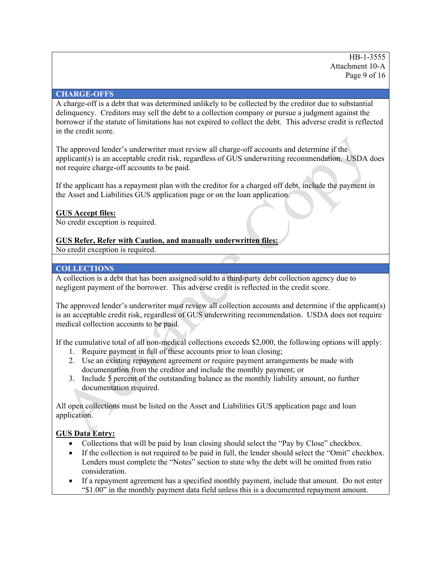## **CHARGE-OFFS**

A charge-off is a debt that was determined unlikely to be collected by the creditor due to substantial delinquency. Creditors may sell the debt to a collection company or pursue a judgment against the borrower if the statute of limitations has not expired to collect the debt. This adverse credit is reflected in the credit score.

The approved lender's underwriter must review all charge-off accounts and determine if the applicant(s) is an acceptable credit risk, regardless of GUS underwriting recommendation. USDA does not require charge-off accounts to be paid.

If the applicant has a repayment plan with the creditor for a charged off debt, include the payment in the Asset and Liabilities GUS application page or on the loan application.

## **GUS Accept files:**

No credit exception is required.

## **GUS Refer, Refer with Caution, and manually underwritten files:**

No credit exception is required.

## **COLLECTIONS**

A collection is a debt that has been assigned/sold to a third-party debt collection agency due to negligent payment of the borrower. This adverse credit is reflected in the credit score.

The approved lender's underwriter must review all collection accounts and determine if the applicant(s) is an acceptable credit risk, regardless of GUS underwriting recommendation. USDA does not require medical collection accounts to be paid.

If the cumulative total of all non-medical collections exceeds \$2,000, the following options will apply:

- 1. Require payment in full of these accounts prior to loan closing;
- 2. Use an existing repayment agreement or require payment arrangements be made with documentation from the creditor and include the monthly payment; or
- 3. Include 5 percent of the outstanding balance as the monthly liability amount, no further documentation required.

All open collections must be listed on the Asset and Liabilities GUS application page and loan application.

## **GUS Data Entry:**

- Collections that will be paid by loan closing should select the "Pay by Close" checkbox.
- If the collection is not required to be paid in full, the lender should select the "Omit" checkbox. Lenders must complete the "Notes" section to state why the debt will be omitted from ratio consideration.
- If a repayment agreement has a specified monthly payment, include that amount. Do not enter "\$1.00" in the monthly payment data field unless this is a documented repayment amount.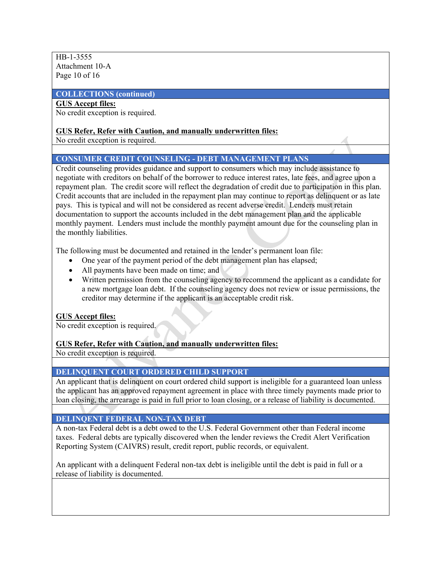HB-1-3555 Attachment 10-A Page 10 of 16

#### **COLLECTIONS (continued)**

## **GUS Accept files:**

No credit exception is required.

#### **GUS Refer, Refer with Caution, and manually underwritten files:**

No credit exception is required.

#### **CONSUMER CREDIT COUNSELING - DEBT MANAGEMENT PLANS**

Credit counseling provides guidance and support to consumers which may include assistance to negotiate with creditors on behalf of the borrower to reduce interest rates, late fees, and agree upon a repayment plan. The credit score will reflect the degradation of credit due to participation in this plan. Credit accounts that are included in the repayment plan may continue to report as delinquent or as late pays. This is typical and will not be considered as recent adverse credit. Lenders must retain documentation to support the accounts included in the debt management plan and the applicable monthly payment. Lenders must include the monthly payment amount due for the counseling plan in the monthly liabilities.

The following must be documented and retained in the lender's permanent loan file:

- One year of the payment period of the debt management plan has elapsed;
- All payments have been made on time; and
- Written permission from the counseling agency to recommend the applicant as a candidate for a new mortgage loan debt. If the counseling agency does not review or issue permissions, the creditor may determine if the applicant is an acceptable credit risk.

#### **GUS Accept files:**

No credit exception is required.

#### **GUS Refer, Refer with Caution, and manually underwritten files:**

No credit exception is required.

#### **DELINQUENT COURT ORDERED CHILD SUPPORT**

An applicant that is delinquent on court ordered child support is ineligible for a guaranteed loan unless the applicant has an approved repayment agreement in place with three timely payments made prior to loan closing, the arrearage is paid in full prior to loan closing, or a release of liability is documented.

#### **DELINQENT FEDERAL NON-TAX DEBT**

A non-tax Federal debt is a debt owed to the U.S. Federal Government other than Federal income taxes. Federal debts are typically discovered when the lender reviews the Credit Alert Verification Reporting System (CAIVRS) result, credit report, public records, or equivalent.

An applicant with a delinquent Federal non-tax debt is ineligible until the debt is paid in full or a release of liability is documented.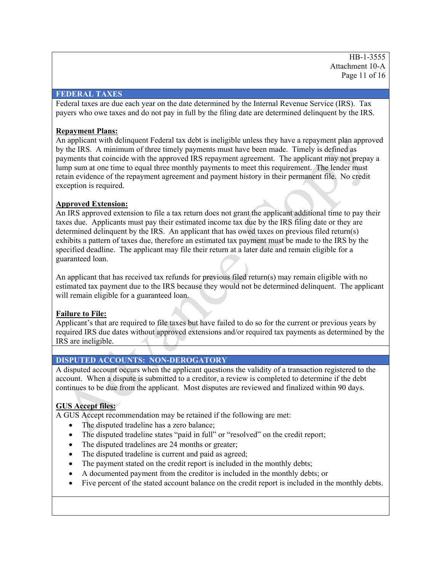HB-1-3555 Attachment 10-A Page 11 of 16

#### **FEDERAL TAXES**

Federal taxes are due each year on the date determined by the Internal Revenue Service (IRS). Tax payers who owe taxes and do not pay in full by the filing date are determined delinquent by the IRS.

## **Repayment Plans:**

An applicant with delinquent Federal tax debt is ineligible unless they have a repayment plan approved by the IRS. A minimum of three timely payments must have been made. Timely is defined as payments that coincide with the approved IRS repayment agreement. The applicant may not prepay a lump sum at one time to equal three monthly payments to meet this requirement. The lender must retain evidence of the repayment agreement and payment history in their permanent file. No credit exception is required.

## **Approved Extension:**

An IRS approved extension to file a tax return does not grant the applicant additional time to pay their taxes due. Applicants must pay their estimated income tax due by the IRS filing date or they are determined delinquent by the IRS. An applicant that has owed taxes on previous filed return(s) exhibits a pattern of taxes due, therefore an estimated tax payment must be made to the IRS by the specified deadline. The applicant may file their return at a later date and remain eligible for a guaranteed loan.

An applicant that has received tax refunds for previous filed return(s) may remain eligible with no estimated tax payment due to the IRS because they would not be determined delinquent. The applicant will remain eligible for a guaranteed loan.

## **Failure to File:**

Applicant's that are required to file taxes but have failed to do so for the current or previous years by required IRS due dates without approved extensions and/or required tax payments as determined by the IRS are ineligible.

## **DISPUTED ACCOUNTS: NON-DEROGATORY**

A disputed account occurs when the applicant questions the validity of a transaction registered to the account. When a dispute is submitted to a creditor, a review is completed to determine if the debt continues to be due from the applicant. Most disputes are reviewed and finalized within 90 days.

## **GUS Accept files:**

A GUS Accept recommendation may be retained if the following are met:

- The disputed tradeline has a zero balance;
- The disputed tradeline states "paid in full" or "resolved" on the credit report;
- The disputed tradelines are 24 months or greater;
- The disputed tradeline is current and paid as agreed;
- The payment stated on the credit report is included in the monthly debts;
- A documented payment from the creditor is included in the monthly debts; or
- Five percent of the stated account balance on the credit report is included in the monthly debts.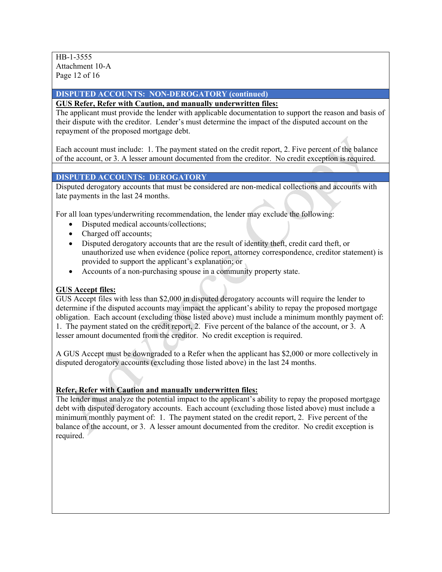HB-1-3555 Attachment 10-A Page 12 of 16

## **DISPUTED ACCOUNTS: NON-DEROGATORY (continued)**

## **GUS Refer, Refer with Caution, and manually underwritten files:**

The applicant must provide the lender with applicable documentation to support the reason and basis of their dispute with the creditor. Lender's must determine the impact of the disputed account on the repayment of the proposed mortgage debt.

Each account must include: 1. The payment stated on the credit report, 2. Five percent of the balance of the account, or 3. A lesser amount documented from the creditor. No credit exception is required.

## **DISPUTED ACCOUNTS: DEROGATORY**

Disputed derogatory accounts that must be considered are non-medical collections and accounts with late payments in the last 24 months.

For all loan types/underwriting recommendation, the lender may exclude the following:

- Disputed medical accounts/collections;
- Charged off accounts;
- Disputed derogatory accounts that are the result of identity theft, credit card theft, or unauthorized use when evidence (police report, attorney correspondence, creditor statement) is provided to support the applicant's explanation; or
- Accounts of a non-purchasing spouse in a community property state.

## **GUS Accept files:**

GUS Accept files with less than \$2,000 in disputed derogatory accounts will require the lender to determine if the disputed accounts may impact the applicant's ability to repay the proposed mortgage obligation. Each account (excluding those listed above) must include a minimum monthly payment of: 1. The payment stated on the credit report, 2. Five percent of the balance of the account, or 3. A lesser amount documented from the creditor. No credit exception is required.

A GUS Accept must be downgraded to a Refer when the applicant has \$2,000 or more collectively in disputed derogatory accounts (excluding those listed above) in the last 24 months.

#### **Refer, Refer with Caution and manually underwritten files:**

The lender must analyze the potential impact to the applicant's ability to repay the proposed mortgage debt with disputed derogatory accounts. Each account (excluding those listed above) must include a minimum monthly payment of: 1. The payment stated on the credit report, 2. Five percent of the balance of the account, or 3. A lesser amount documented from the creditor. No credit exception is required.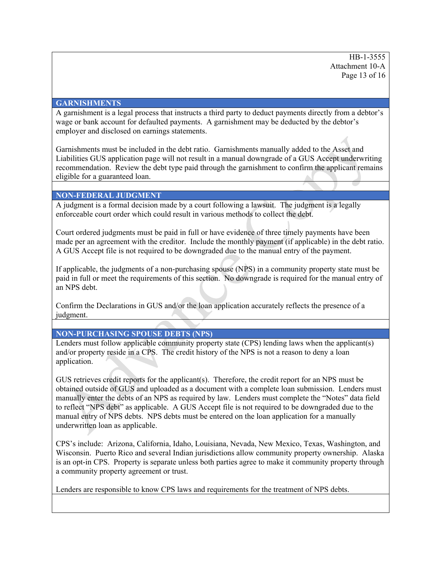HB-1-3555 Attachment 10-A Page 13 of 16

#### **GARNISHMENTS**

A garnishment is a legal process that instructs a third party to deduct payments directly from a debtor's wage or bank account for defaulted payments. A garnishment may be deducted by the debtor's employer and disclosed on earnings statements.

Garnishments must be included in the debt ratio. Garnishments manually added to the Asset and Liabilities GUS application page will not result in a manual downgrade of a GUS Accept underwriting recommendation. Review the debt type paid through the garnishment to confirm the applicant remains eligible for a guaranteed loan.

#### **NON-FEDERAL JUDGMENT**

A judgment is a formal decision made by a court following a lawsuit. The judgment is a legally enforceable court order which could result in various methods to collect the debt.

Court ordered judgments must be paid in full or have evidence of three timely payments have been made per an agreement with the creditor. Include the monthly payment (if applicable) in the debt ratio. A GUS Accept file is not required to be downgraded due to the manual entry of the payment.

If applicable, the judgments of a non-purchasing spouse (NPS) in a community property state must be paid in full or meet the requirements of this section. No downgrade is required for the manual entry of an NPS debt.

Confirm the Declarations in GUS and/or the loan application accurately reflects the presence of a judgment.

#### **NON-PURCHASING SPOUSE DEBTS (NPS)**

Lenders must follow applicable community property state (CPS) lending laws when the applicant(s) and/or property reside in a CPS. The credit history of the NPS is not a reason to deny a loan application.

GUS retrieves credit reports for the applicant(s). Therefore, the credit report for an NPS must be obtained outside of GUS and uploaded as a document with a complete loan submission. Lenders must manually enter the debts of an NPS as required by law. Lenders must complete the "Notes" data field to reflect "NPS debt" as applicable. A GUS Accept file is not required to be downgraded due to the manual entry of NPS debts. NPS debts must be entered on the loan application for a manually underwritten loan as applicable.

CPS's include: Arizona, California, Idaho, Louisiana, Nevada, New Mexico, Texas, Washington, and Wisconsin. Puerto Rico and several Indian jurisdictions allow community property ownership. Alaska is an opt-in CPS. Property is separate unless both parties agree to make it community property through a community property agreement or trust.

Lenders are responsible to know CPS laws and requirements for the treatment of NPS debts.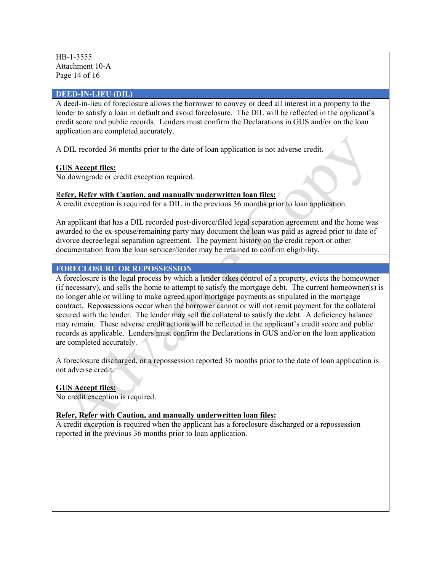HB-1-3555 Attachment 10-A Page 14 of 16

#### **DEED-IN-LIEU (DIL)**

A deed-in-lieu of foreclosure allows the borrower to convey or deed all interest in a property to the lender to satisfy a loan in default and avoid foreclosure. The DIL will be reflected in the applicant's credit score and public records. Lenders must confirm the Declarations in GUS and/or on the loan application are completed accurately.

A DIL recorded 36 months prior to the date of loan application is not adverse credit.

## **GUS Accept files:**

No downgrade or credit exception required.

## R**efer, Refer with Caution, and manually underwritten loan files:**

A credit exception is required for a DIL in the previous 36 months prior to loan application.

An applicant that has a DIL recorded post-divorce/filed legal separation agreement and the home was awarded to the ex-spouse/remaining party may document the loan was paid as agreed prior to date of divorce decree/legal separation agreement. The payment history on the credit report or other documentation from the loan servicer/lender may be retained to confirm eligibility.

## **FORECLOSURE OR REPOSSESSION**

A foreclosure is the legal process by which a lender takes control of a property, evicts the homeowner (if necessary), and sells the home to attempt to satisfy the mortgage debt. The current homeowner(s) is no longer able or willing to make agreed upon mortgage payments as stipulated in the mortgage contract. Repossessions occur when the borrower cannot or will not remit payment for the collateral secured with the lender. The lender may sell the collateral to satisfy the debt. A deficiency balance may remain. These adverse credit actions will be reflected in the applicant's credit score and public records as applicable. Lenders must confirm the Declarations in GUS and/or on the loan application are completed accurately.

A foreclosure discharged, or a repossession reported 36 months prior to the date of loan application is not adverse credit.

#### **GUS Accept files:**

No credit exception is required.

**Refer, Refer with Caution, and manually underwritten loan files:** 

A credit exception is required when the applicant has a foreclosure discharged or a repossession reported in the previous 36 months prior to loan application.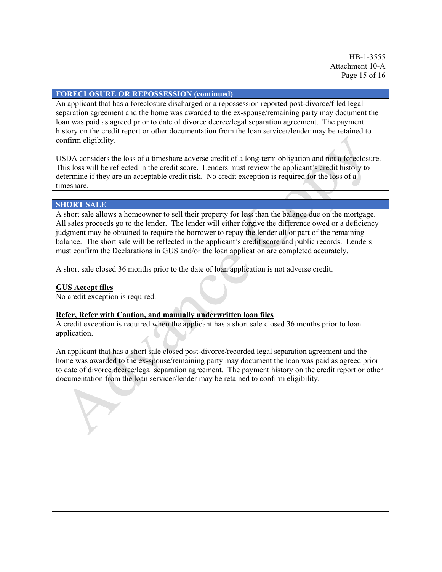HB-1-3555 Attachment 10-A Page 15 of 16

#### **FORECLOSURE OR REPOSSESSION (continued)**

An applicant that has a foreclosure discharged or a repossession reported post-divorce/filed legal separation agreement and the home was awarded to the ex-spouse/remaining party may document the loan was paid as agreed prior to date of divorce decree/legal separation agreement. The payment history on the credit report or other documentation from the loan servicer/lender may be retained to confirm eligibility.

USDA considers the loss of a timeshare adverse credit of a long-term obligation and not a foreclosure. This loss will be reflected in the credit score. Lenders must review the applicant's credit history to determine if they are an acceptable credit risk. No credit exception is required for the loss of a timeshare.

#### **SHORT SALE**

A short sale allows a homeowner to sell their property for less than the balance due on the mortgage. All sales proceeds go to the lender. The lender will either forgive the difference owed or a deficiency judgment may be obtained to require the borrower to repay the lender all or part of the remaining balance. The short sale will be reflected in the applicant's credit score and public records. Lenders must confirm the Declarations in GUS and/or the loan application are completed accurately.

A short sale closed 36 months prior to the date of loan application is not adverse credit.

#### **GUS Accept files**

No credit exception is required.

#### **Refer, Refer with Caution, and manually underwritten loan files**

A credit exception is required when the applicant has a short sale closed 36 months prior to loan application.

An applicant that has a short sale closed post-divorce/recorded legal separation agreement and the home was awarded to the ex-spouse/remaining party may document the loan was paid as agreed prior to date of divorce decree/legal separation agreement. The payment history on the credit report or other documentation from the loan servicer/lender may be retained to confirm eligibility.